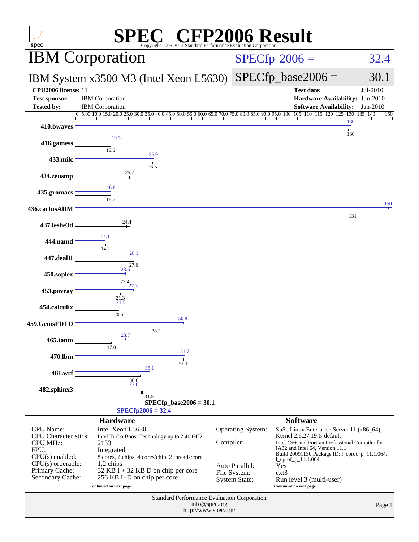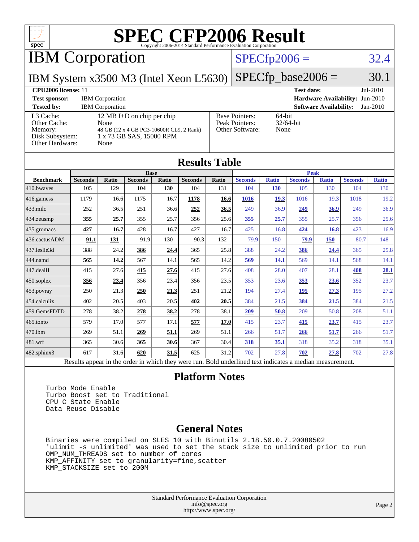

IBM Corporation

### $SPECfp2006 = 32.4$  $SPECfp2006 = 32.4$

IBM System x3500 M3 (Intel Xeon L5630)

 $SPECTp\_base2006 = 30.1$ 

#### **[CPU2006 license:](http://www.spec.org/auto/cpu2006/Docs/result-fields.html#CPU2006license)** 11 **[Test date:](http://www.spec.org/auto/cpu2006/Docs/result-fields.html#Testdate)** Jul-2010 **[Test sponsor:](http://www.spec.org/auto/cpu2006/Docs/result-fields.html#Testsponsor)** IBM Corporation **[Hardware Availability:](http://www.spec.org/auto/cpu2006/Docs/result-fields.html#HardwareAvailability)** Jun-2010 **[Tested by:](http://www.spec.org/auto/cpu2006/Docs/result-fields.html#Testedby)** IBM Corporation **[Software Availability:](http://www.spec.org/auto/cpu2006/Docs/result-fields.html#SoftwareAvailability)** Jan-2010

[L3 Cache:](http://www.spec.org/auto/cpu2006/Docs/result-fields.html#L3Cache) 12 MB I+D on chip per chip<br>Other Cache: None [Other Cache:](http://www.spec.org/auto/cpu2006/Docs/result-fields.html#OtherCache) [Memory:](http://www.spec.org/auto/cpu2006/Docs/result-fields.html#Memory) 48 GB (12 x 4 GB PC3-10600R CL9, 2 Rank) [Disk Subsystem:](http://www.spec.org/auto/cpu2006/Docs/result-fields.html#DiskSubsystem) 1 x 73 GB SAS, 15000 RPM [Other Hardware:](http://www.spec.org/auto/cpu2006/Docs/result-fields.html#OtherHardware) None

| <b>Base Pointers:</b> | 64-bit       |
|-----------------------|--------------|
| Peak Pointers:        | $32/64$ -bit |
| Other Software:       | None         |
|                       |              |

None

| <b>Results Table</b>                                                                                     |                |              |                |       |                |       |                |              |                |              |                |              |
|----------------------------------------------------------------------------------------------------------|----------------|--------------|----------------|-------|----------------|-------|----------------|--------------|----------------|--------------|----------------|--------------|
|                                                                                                          | <b>Base</b>    |              |                |       | <b>Peak</b>    |       |                |              |                |              |                |              |
| <b>Benchmark</b>                                                                                         | <b>Seconds</b> | <b>Ratio</b> | <b>Seconds</b> | Ratio | <b>Seconds</b> | Ratio | <b>Seconds</b> | <b>Ratio</b> | <b>Seconds</b> | <b>Ratio</b> | <b>Seconds</b> | <b>Ratio</b> |
| 410.bwayes                                                                                               | 105            | 129          | 104            | 130   | 104            | 131   | 104            | <b>130</b>   | 105            | 130          | 104            | 130          |
| 416.gamess                                                                                               | 1179           | 16.6         | 1175           | 16.7  | 1178           | 16.6  | 1016           | 19.3         | 1016           | 19.3         | 1018           | 19.2         |
| 433.milc                                                                                                 | 252            | 36.5         | 251            | 36.6  | 252            | 36.5  | 249            | 36.9         | 249            | 36.9         | 249            | 36.9         |
| 434.zeusmp                                                                                               | 355            | 25.7         | 355            | 25.7  | 356            | 25.6  | 355            | 25.7         | 355            | 25.7         | 356            | 25.6         |
| 435.gromacs                                                                                              | 427            | 16.7         | 428            | 16.7  | 427            | 16.7  | 425            | 16.8         | 424            | 16.8         | 423            | 16.9         |
| 436.cactusADM                                                                                            | 91.1           | 131          | 91.9           | 130   | 90.3           | 132   | 79.9           | 150          | 79.9           | 150          | 80.7           | 148          |
| 437.leslie3d                                                                                             | 388            | 24.2         | 386            | 24.4  | 365            | 25.8  | 388            | 24.2         | 386            | 24.4         | 365            | 25.8         |
| 444.namd                                                                                                 | 565            | 14.2         | 567            | 14.1  | 565            | 14.2  | 569            | <u>14.1</u>  | 569            | 14.1         | 568            | 14.1         |
| 447.dealII                                                                                               | 415            | 27.6         | 415            | 27.6  | 415            | 27.6  | 408            | 28.0         | 407            | 28.1         | 408            | 28.1         |
| 450.soplex                                                                                               | 356            | 23.4         | 356            | 23.4  | 356            | 23.5  | 353            | 23.6         | 353            | 23.6         | 352            | 23.7         |
| 453.povray                                                                                               | 250            | 21.3         | 250            | 21.3  | 251            | 21.2  | 194            | 27.4         | 195            | 27.3         | 195            | 27.2         |
| 454.calculix                                                                                             | 402            | 20.5         | 403            | 20.5  | 402            | 20.5  | 384            | 21.5         | 384            | 21.5         | 384            | 21.5         |
| 459.GemsFDTD                                                                                             | 278            | 38.2         | 278            | 38.2  | 278            | 38.1  | 209            | 50.8         | 209            | 50.8         | 208            | 51.1         |
| 465.tonto                                                                                                | 579            | 17.0         | 577            | 17.1  | 577            | 17.0  | 415            | 23.7         | 415            | 23.7         | 415            | 23.7         |
| 470.lbm                                                                                                  | 269            | 51.1         | 269            | 51.1  | 269            | 51.1  | 266            | 51.7         | 266            | 51.7         | 266            | 51.7         |
| 481.wrf                                                                                                  | 365            | 30.6         | 365            | 30.6  | 367            | 30.4  | 318            | 35.1         | 318            | 35.2         | 318            | 35.1         |
| 482.sphinx3                                                                                              | 617            | 31.6         | 620            | 31.5  | 625            | 31.2  | 702            | 27.8         | 702            | 27.8         | 702            | 27.8         |
| Results appear in the order in which they were run. Bold underlined text indicates a median measurement. |                |              |                |       |                |       |                |              |                |              |                |              |

#### **[Platform Notes](http://www.spec.org/auto/cpu2006/Docs/result-fields.html#PlatformNotes)**

 Turbo Mode Enable Turbo Boost set to Traditional CPU C State Enable Data Reuse Disable

#### **[General Notes](http://www.spec.org/auto/cpu2006/Docs/result-fields.html#GeneralNotes)**

 Binaries were compiled on SLES 10 with Binutils 2.18.50.0.7.20080502 'ulimit -s unlimited' was used to set the stack size to unlimited prior to run OMP\_NUM\_THREADS set to number of cores KMP\_AFFINITY set to granularity=fine,scatter KMP\_STACKSIZE set to 200M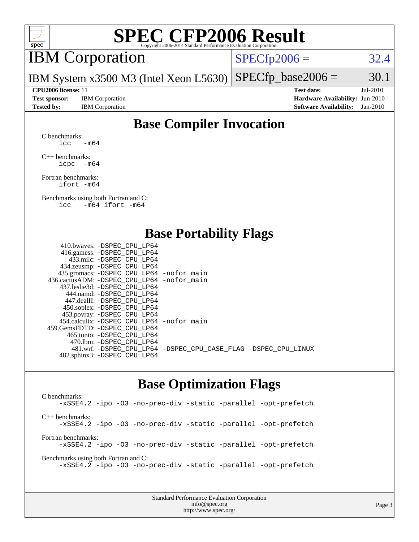

# IBM Corporation

 $SPECTp2006 = 32.4$ 

IBM System x3500 M3 (Intel Xeon L5630)  $SPECTp\_base2006 = 30.1$ 

**[Test sponsor:](http://www.spec.org/auto/cpu2006/Docs/result-fields.html#Testsponsor)** IBM Corporation **[Hardware Availability:](http://www.spec.org/auto/cpu2006/Docs/result-fields.html#HardwareAvailability)** Jun-2010

**[CPU2006 license:](http://www.spec.org/auto/cpu2006/Docs/result-fields.html#CPU2006license)** 11 **[Test date:](http://www.spec.org/auto/cpu2006/Docs/result-fields.html#Testdate)** Jul-2010 **[Tested by:](http://www.spec.org/auto/cpu2006/Docs/result-fields.html#Testedby)** IBM Corporation **[Software Availability:](http://www.spec.org/auto/cpu2006/Docs/result-fields.html#SoftwareAvailability)** Jan-2010

## **[Base Compiler Invocation](http://www.spec.org/auto/cpu2006/Docs/result-fields.html#BaseCompilerInvocation)**

[C benchmarks](http://www.spec.org/auto/cpu2006/Docs/result-fields.html#Cbenchmarks): icc  $-m64$ 

[C++ benchmarks:](http://www.spec.org/auto/cpu2006/Docs/result-fields.html#CXXbenchmarks) [icpc -m64](http://www.spec.org/cpu2006/results/res2010q3/cpu2006-20100802-12736.flags.html#user_CXXbase_intel_icpc_64bit_bedb90c1146cab66620883ef4f41a67e)

[Fortran benchmarks](http://www.spec.org/auto/cpu2006/Docs/result-fields.html#Fortranbenchmarks): [ifort -m64](http://www.spec.org/cpu2006/results/res2010q3/cpu2006-20100802-12736.flags.html#user_FCbase_intel_ifort_64bit_ee9d0fb25645d0210d97eb0527dcc06e)

[Benchmarks using both Fortran and C](http://www.spec.org/auto/cpu2006/Docs/result-fields.html#BenchmarksusingbothFortranandC): [icc -m64](http://www.spec.org/cpu2006/results/res2010q3/cpu2006-20100802-12736.flags.html#user_CC_FCbase_intel_icc_64bit_0b7121f5ab7cfabee23d88897260401c) [ifort -m64](http://www.spec.org/cpu2006/results/res2010q3/cpu2006-20100802-12736.flags.html#user_CC_FCbase_intel_ifort_64bit_ee9d0fb25645d0210d97eb0527dcc06e)

### **[Base Portability Flags](http://www.spec.org/auto/cpu2006/Docs/result-fields.html#BasePortabilityFlags)**

| 410.bwaves: -DSPEC CPU LP64                 |                                                                |
|---------------------------------------------|----------------------------------------------------------------|
| 416.gamess: - DSPEC_CPU_LP64                |                                                                |
| 433.milc: -DSPEC CPU LP64                   |                                                                |
| 434.zeusmp: -DSPEC_CPU_LP64                 |                                                                |
| 435.gromacs: -DSPEC_CPU_LP64 -nofor_main    |                                                                |
| 436.cactusADM: -DSPEC CPU LP64 -nofor main  |                                                                |
| 437.leslie3d: -DSPEC CPU LP64               |                                                                |
| 444.namd: - DSPEC_CPU_LP64                  |                                                                |
| 447.dealII: -DSPEC CPU LP64                 |                                                                |
| 450.soplex: -DSPEC_CPU_LP64                 |                                                                |
| 453.povray: -DSPEC_CPU_LP64                 |                                                                |
| 454.calculix: - DSPEC CPU LP64 - nofor main |                                                                |
| 459.GemsFDTD: -DSPEC_CPU LP64               |                                                                |
| 465.tonto: - DSPEC_CPU LP64                 |                                                                |
| 470.1bm: - DSPEC CPU LP64                   |                                                                |
|                                             | 481.wrf: -DSPEC_CPU_LP64 -DSPEC_CPU_CASE_FLAG -DSPEC_CPU_LINUX |
| 482.sphinx3: -DSPEC_CPU_LP64                |                                                                |
|                                             |                                                                |

### **[Base Optimization Flags](http://www.spec.org/auto/cpu2006/Docs/result-fields.html#BaseOptimizationFlags)**

[C benchmarks](http://www.spec.org/auto/cpu2006/Docs/result-fields.html#Cbenchmarks): [-xSSE4.2](http://www.spec.org/cpu2006/results/res2010q3/cpu2006-20100802-12736.flags.html#user_CCbase_f-xSSE42_f91528193cf0b216347adb8b939d4107) [-ipo](http://www.spec.org/cpu2006/results/res2010q3/cpu2006-20100802-12736.flags.html#user_CCbase_f-ipo) [-O3](http://www.spec.org/cpu2006/results/res2010q3/cpu2006-20100802-12736.flags.html#user_CCbase_f-O3) [-no-prec-div](http://www.spec.org/cpu2006/results/res2010q3/cpu2006-20100802-12736.flags.html#user_CCbase_f-no-prec-div) [-static](http://www.spec.org/cpu2006/results/res2010q3/cpu2006-20100802-12736.flags.html#user_CCbase_f-static) [-parallel](http://www.spec.org/cpu2006/results/res2010q3/cpu2006-20100802-12736.flags.html#user_CCbase_f-parallel) [-opt-prefetch](http://www.spec.org/cpu2006/results/res2010q3/cpu2006-20100802-12736.flags.html#user_CCbase_f-opt-prefetch) [C++ benchmarks:](http://www.spec.org/auto/cpu2006/Docs/result-fields.html#CXXbenchmarks) [-xSSE4.2](http://www.spec.org/cpu2006/results/res2010q3/cpu2006-20100802-12736.flags.html#user_CXXbase_f-xSSE42_f91528193cf0b216347adb8b939d4107) [-ipo](http://www.spec.org/cpu2006/results/res2010q3/cpu2006-20100802-12736.flags.html#user_CXXbase_f-ipo) [-O3](http://www.spec.org/cpu2006/results/res2010q3/cpu2006-20100802-12736.flags.html#user_CXXbase_f-O3) [-no-prec-div](http://www.spec.org/cpu2006/results/res2010q3/cpu2006-20100802-12736.flags.html#user_CXXbase_f-no-prec-div) [-static](http://www.spec.org/cpu2006/results/res2010q3/cpu2006-20100802-12736.flags.html#user_CXXbase_f-static) [-parallel](http://www.spec.org/cpu2006/results/res2010q3/cpu2006-20100802-12736.flags.html#user_CXXbase_f-parallel) [-opt-prefetch](http://www.spec.org/cpu2006/results/res2010q3/cpu2006-20100802-12736.flags.html#user_CXXbase_f-opt-prefetch) [Fortran benchmarks](http://www.spec.org/auto/cpu2006/Docs/result-fields.html#Fortranbenchmarks): [-xSSE4.2](http://www.spec.org/cpu2006/results/res2010q3/cpu2006-20100802-12736.flags.html#user_FCbase_f-xSSE42_f91528193cf0b216347adb8b939d4107) [-ipo](http://www.spec.org/cpu2006/results/res2010q3/cpu2006-20100802-12736.flags.html#user_FCbase_f-ipo) [-O3](http://www.spec.org/cpu2006/results/res2010q3/cpu2006-20100802-12736.flags.html#user_FCbase_f-O3) [-no-prec-div](http://www.spec.org/cpu2006/results/res2010q3/cpu2006-20100802-12736.flags.html#user_FCbase_f-no-prec-div) [-static](http://www.spec.org/cpu2006/results/res2010q3/cpu2006-20100802-12736.flags.html#user_FCbase_f-static) [-parallel](http://www.spec.org/cpu2006/results/res2010q3/cpu2006-20100802-12736.flags.html#user_FCbase_f-parallel) [-opt-prefetch](http://www.spec.org/cpu2006/results/res2010q3/cpu2006-20100802-12736.flags.html#user_FCbase_f-opt-prefetch) [Benchmarks using both Fortran and C](http://www.spec.org/auto/cpu2006/Docs/result-fields.html#BenchmarksusingbothFortranandC): [-xSSE4.2](http://www.spec.org/cpu2006/results/res2010q3/cpu2006-20100802-12736.flags.html#user_CC_FCbase_f-xSSE42_f91528193cf0b216347adb8b939d4107) [-ipo](http://www.spec.org/cpu2006/results/res2010q3/cpu2006-20100802-12736.flags.html#user_CC_FCbase_f-ipo) [-O3](http://www.spec.org/cpu2006/results/res2010q3/cpu2006-20100802-12736.flags.html#user_CC_FCbase_f-O3) [-no-prec-div](http://www.spec.org/cpu2006/results/res2010q3/cpu2006-20100802-12736.flags.html#user_CC_FCbase_f-no-prec-div) [-static](http://www.spec.org/cpu2006/results/res2010q3/cpu2006-20100802-12736.flags.html#user_CC_FCbase_f-static) [-parallel](http://www.spec.org/cpu2006/results/res2010q3/cpu2006-20100802-12736.flags.html#user_CC_FCbase_f-parallel) [-opt-prefetch](http://www.spec.org/cpu2006/results/res2010q3/cpu2006-20100802-12736.flags.html#user_CC_FCbase_f-opt-prefetch)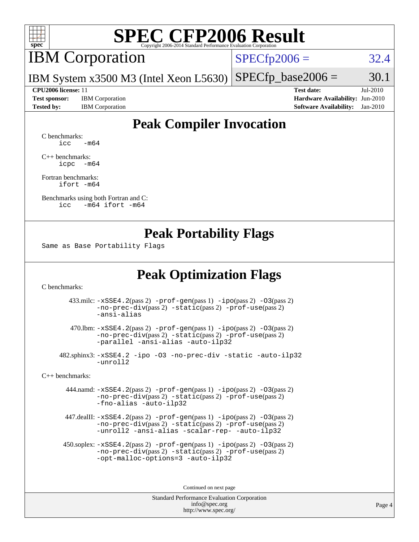

# IBM Corporation

 $SPECfp2006 = 32.4$  $SPECfp2006 = 32.4$ 

IBM System x3500 M3 (Intel Xeon L5630)  $SPECTp\_base2006 = 30.1$ 

**[Test sponsor:](http://www.spec.org/auto/cpu2006/Docs/result-fields.html#Testsponsor)** IBM Corporation **[Hardware Availability:](http://www.spec.org/auto/cpu2006/Docs/result-fields.html#HardwareAvailability)** Jun-2010

**[CPU2006 license:](http://www.spec.org/auto/cpu2006/Docs/result-fields.html#CPU2006license)** 11 **[Test date:](http://www.spec.org/auto/cpu2006/Docs/result-fields.html#Testdate)** Jul-2010 **[Tested by:](http://www.spec.org/auto/cpu2006/Docs/result-fields.html#Testedby)** IBM Corporation **[Software Availability:](http://www.spec.org/auto/cpu2006/Docs/result-fields.html#SoftwareAvailability)** Jan-2010

## **[Peak Compiler Invocation](http://www.spec.org/auto/cpu2006/Docs/result-fields.html#PeakCompilerInvocation)**

[C benchmarks](http://www.spec.org/auto/cpu2006/Docs/result-fields.html#Cbenchmarks):  $\text{icc}$   $-\text{m64}$ 

[C++ benchmarks:](http://www.spec.org/auto/cpu2006/Docs/result-fields.html#CXXbenchmarks) [icpc -m64](http://www.spec.org/cpu2006/results/res2010q3/cpu2006-20100802-12736.flags.html#user_CXXpeak_intel_icpc_64bit_bedb90c1146cab66620883ef4f41a67e)

[Fortran benchmarks](http://www.spec.org/auto/cpu2006/Docs/result-fields.html#Fortranbenchmarks): [ifort -m64](http://www.spec.org/cpu2006/results/res2010q3/cpu2006-20100802-12736.flags.html#user_FCpeak_intel_ifort_64bit_ee9d0fb25645d0210d97eb0527dcc06e)

[Benchmarks using both Fortran and C](http://www.spec.org/auto/cpu2006/Docs/result-fields.html#BenchmarksusingbothFortranandC): [icc -m64](http://www.spec.org/cpu2006/results/res2010q3/cpu2006-20100802-12736.flags.html#user_CC_FCpeak_intel_icc_64bit_0b7121f5ab7cfabee23d88897260401c) [ifort -m64](http://www.spec.org/cpu2006/results/res2010q3/cpu2006-20100802-12736.flags.html#user_CC_FCpeak_intel_ifort_64bit_ee9d0fb25645d0210d97eb0527dcc06e)

### **[Peak Portability Flags](http://www.spec.org/auto/cpu2006/Docs/result-fields.html#PeakPortabilityFlags)**

Same as Base Portability Flags

## **[Peak Optimization Flags](http://www.spec.org/auto/cpu2006/Docs/result-fields.html#PeakOptimizationFlags)**

[C benchmarks](http://www.spec.org/auto/cpu2006/Docs/result-fields.html#Cbenchmarks):

 433.milc: [-xSSE4.2](http://www.spec.org/cpu2006/results/res2010q3/cpu2006-20100802-12736.flags.html#user_peakPASS2_CFLAGSPASS2_LDFLAGS433_milc_f-xSSE42_f91528193cf0b216347adb8b939d4107)(pass 2) [-prof-gen](http://www.spec.org/cpu2006/results/res2010q3/cpu2006-20100802-12736.flags.html#user_peakPASS1_CFLAGSPASS1_LDFLAGS433_milc_prof_gen_e43856698f6ca7b7e442dfd80e94a8fc)(pass 1) [-ipo](http://www.spec.org/cpu2006/results/res2010q3/cpu2006-20100802-12736.flags.html#user_peakPASS2_CFLAGSPASS2_LDFLAGS433_milc_f-ipo)(pass 2) [-O3](http://www.spec.org/cpu2006/results/res2010q3/cpu2006-20100802-12736.flags.html#user_peakPASS2_CFLAGSPASS2_LDFLAGS433_milc_f-O3)(pass 2) [-no-prec-div](http://www.spec.org/cpu2006/results/res2010q3/cpu2006-20100802-12736.flags.html#user_peakPASS2_CFLAGSPASS2_LDFLAGS433_milc_f-no-prec-div)(pass 2) [-static](http://www.spec.org/cpu2006/results/res2010q3/cpu2006-20100802-12736.flags.html#user_peakPASS2_CFLAGSPASS2_LDFLAGS433_milc_f-static)(pass 2) [-prof-use](http://www.spec.org/cpu2006/results/res2010q3/cpu2006-20100802-12736.flags.html#user_peakPASS2_CFLAGSPASS2_LDFLAGS433_milc_prof_use_bccf7792157ff70d64e32fe3e1250b55)(pass 2) [-ansi-alias](http://www.spec.org/cpu2006/results/res2010q3/cpu2006-20100802-12736.flags.html#user_peakOPTIMIZE433_milc_f-ansi-alias)

 470.lbm: [-xSSE4.2](http://www.spec.org/cpu2006/results/res2010q3/cpu2006-20100802-12736.flags.html#user_peakPASS2_CFLAGSPASS2_LDFLAGS470_lbm_f-xSSE42_f91528193cf0b216347adb8b939d4107)(pass 2) [-prof-gen](http://www.spec.org/cpu2006/results/res2010q3/cpu2006-20100802-12736.flags.html#user_peakPASS1_CFLAGSPASS1_LDFLAGS470_lbm_prof_gen_e43856698f6ca7b7e442dfd80e94a8fc)(pass 1) [-ipo](http://www.spec.org/cpu2006/results/res2010q3/cpu2006-20100802-12736.flags.html#user_peakPASS2_CFLAGSPASS2_LDFLAGS470_lbm_f-ipo)(pass 2) [-O3](http://www.spec.org/cpu2006/results/res2010q3/cpu2006-20100802-12736.flags.html#user_peakPASS2_CFLAGSPASS2_LDFLAGS470_lbm_f-O3)(pass 2) [-no-prec-div](http://www.spec.org/cpu2006/results/res2010q3/cpu2006-20100802-12736.flags.html#user_peakPASS2_CFLAGSPASS2_LDFLAGS470_lbm_f-no-prec-div)(pass 2) [-static](http://www.spec.org/cpu2006/results/res2010q3/cpu2006-20100802-12736.flags.html#user_peakPASS2_CFLAGSPASS2_LDFLAGS470_lbm_f-static)(pass 2) [-prof-use](http://www.spec.org/cpu2006/results/res2010q3/cpu2006-20100802-12736.flags.html#user_peakPASS2_CFLAGSPASS2_LDFLAGS470_lbm_prof_use_bccf7792157ff70d64e32fe3e1250b55)(pass 2) [-parallel](http://www.spec.org/cpu2006/results/res2010q3/cpu2006-20100802-12736.flags.html#user_peakOPTIMIZE470_lbm_f-parallel) [-ansi-alias](http://www.spec.org/cpu2006/results/res2010q3/cpu2006-20100802-12736.flags.html#user_peakOPTIMIZE470_lbm_f-ansi-alias) [-auto-ilp32](http://www.spec.org/cpu2006/results/res2010q3/cpu2006-20100802-12736.flags.html#user_peakCOPTIMIZE470_lbm_f-auto-ilp32)

 482.sphinx3: [-xSSE4.2](http://www.spec.org/cpu2006/results/res2010q3/cpu2006-20100802-12736.flags.html#user_peakOPTIMIZE482_sphinx3_f-xSSE42_f91528193cf0b216347adb8b939d4107) [-ipo](http://www.spec.org/cpu2006/results/res2010q3/cpu2006-20100802-12736.flags.html#user_peakOPTIMIZE482_sphinx3_f-ipo) [-O3](http://www.spec.org/cpu2006/results/res2010q3/cpu2006-20100802-12736.flags.html#user_peakOPTIMIZE482_sphinx3_f-O3) [-no-prec-div](http://www.spec.org/cpu2006/results/res2010q3/cpu2006-20100802-12736.flags.html#user_peakOPTIMIZE482_sphinx3_f-no-prec-div) [-static](http://www.spec.org/cpu2006/results/res2010q3/cpu2006-20100802-12736.flags.html#user_peakOPTIMIZE482_sphinx3_f-static) [-auto-ilp32](http://www.spec.org/cpu2006/results/res2010q3/cpu2006-20100802-12736.flags.html#user_peakCOPTIMIZE482_sphinx3_f-auto-ilp32) [-unroll2](http://www.spec.org/cpu2006/results/res2010q3/cpu2006-20100802-12736.flags.html#user_peakCOPTIMIZE482_sphinx3_f-unroll_784dae83bebfb236979b41d2422d7ec2)

[C++ benchmarks:](http://www.spec.org/auto/cpu2006/Docs/result-fields.html#CXXbenchmarks)

 444.namd: [-xSSE4.2](http://www.spec.org/cpu2006/results/res2010q3/cpu2006-20100802-12736.flags.html#user_peakPASS2_CXXFLAGSPASS2_LDFLAGS444_namd_f-xSSE42_f91528193cf0b216347adb8b939d4107)(pass 2) [-prof-gen](http://www.spec.org/cpu2006/results/res2010q3/cpu2006-20100802-12736.flags.html#user_peakPASS1_CXXFLAGSPASS1_LDFLAGS444_namd_prof_gen_e43856698f6ca7b7e442dfd80e94a8fc)(pass 1) [-ipo](http://www.spec.org/cpu2006/results/res2010q3/cpu2006-20100802-12736.flags.html#user_peakPASS2_CXXFLAGSPASS2_LDFLAGS444_namd_f-ipo)(pass 2) [-O3](http://www.spec.org/cpu2006/results/res2010q3/cpu2006-20100802-12736.flags.html#user_peakPASS2_CXXFLAGSPASS2_LDFLAGS444_namd_f-O3)(pass 2) [-no-prec-div](http://www.spec.org/cpu2006/results/res2010q3/cpu2006-20100802-12736.flags.html#user_peakPASS2_CXXFLAGSPASS2_LDFLAGS444_namd_f-no-prec-div)(pass 2) [-static](http://www.spec.org/cpu2006/results/res2010q3/cpu2006-20100802-12736.flags.html#user_peakPASS2_CXXFLAGSPASS2_LDFLAGS444_namd_f-static)(pass 2) [-prof-use](http://www.spec.org/cpu2006/results/res2010q3/cpu2006-20100802-12736.flags.html#user_peakPASS2_CXXFLAGSPASS2_LDFLAGS444_namd_prof_use_bccf7792157ff70d64e32fe3e1250b55)(pass 2) [-fno-alias](http://www.spec.org/cpu2006/results/res2010q3/cpu2006-20100802-12736.flags.html#user_peakOPTIMIZE444_namd_f-no-alias_694e77f6c5a51e658e82ccff53a9e63a) [-auto-ilp32](http://www.spec.org/cpu2006/results/res2010q3/cpu2006-20100802-12736.flags.html#user_peakCXXOPTIMIZE444_namd_f-auto-ilp32)

 447.dealII: [-xSSE4.2](http://www.spec.org/cpu2006/results/res2010q3/cpu2006-20100802-12736.flags.html#user_peakPASS2_CXXFLAGSPASS2_LDFLAGS447_dealII_f-xSSE42_f91528193cf0b216347adb8b939d4107)(pass 2) [-prof-gen](http://www.spec.org/cpu2006/results/res2010q3/cpu2006-20100802-12736.flags.html#user_peakPASS1_CXXFLAGSPASS1_LDFLAGS447_dealII_prof_gen_e43856698f6ca7b7e442dfd80e94a8fc)(pass 1) [-ipo](http://www.spec.org/cpu2006/results/res2010q3/cpu2006-20100802-12736.flags.html#user_peakPASS2_CXXFLAGSPASS2_LDFLAGS447_dealII_f-ipo)(pass 2) [-O3](http://www.spec.org/cpu2006/results/res2010q3/cpu2006-20100802-12736.flags.html#user_peakPASS2_CXXFLAGSPASS2_LDFLAGS447_dealII_f-O3)(pass 2) [-no-prec-div](http://www.spec.org/cpu2006/results/res2010q3/cpu2006-20100802-12736.flags.html#user_peakPASS2_CXXFLAGSPASS2_LDFLAGS447_dealII_f-no-prec-div)(pass 2) [-static](http://www.spec.org/cpu2006/results/res2010q3/cpu2006-20100802-12736.flags.html#user_peakPASS2_CXXFLAGSPASS2_LDFLAGS447_dealII_f-static)(pass 2) [-prof-use](http://www.spec.org/cpu2006/results/res2010q3/cpu2006-20100802-12736.flags.html#user_peakPASS2_CXXFLAGSPASS2_LDFLAGS447_dealII_prof_use_bccf7792157ff70d64e32fe3e1250b55)(pass 2) [-unroll2](http://www.spec.org/cpu2006/results/res2010q3/cpu2006-20100802-12736.flags.html#user_peakOPTIMIZE447_dealII_f-unroll_784dae83bebfb236979b41d2422d7ec2) [-ansi-alias](http://www.spec.org/cpu2006/results/res2010q3/cpu2006-20100802-12736.flags.html#user_peakOPTIMIZE447_dealII_f-ansi-alias) [-scalar-rep-](http://www.spec.org/cpu2006/results/res2010q3/cpu2006-20100802-12736.flags.html#user_peakOPTIMIZE447_dealII_f-disablescalarrep_abbcad04450fb118e4809c81d83c8a1d) [-auto-ilp32](http://www.spec.org/cpu2006/results/res2010q3/cpu2006-20100802-12736.flags.html#user_peakCXXOPTIMIZE447_dealII_f-auto-ilp32)

 450.soplex: [-xSSE4.2](http://www.spec.org/cpu2006/results/res2010q3/cpu2006-20100802-12736.flags.html#user_peakPASS2_CXXFLAGSPASS2_LDFLAGS450_soplex_f-xSSE42_f91528193cf0b216347adb8b939d4107)(pass 2) [-prof-gen](http://www.spec.org/cpu2006/results/res2010q3/cpu2006-20100802-12736.flags.html#user_peakPASS1_CXXFLAGSPASS1_LDFLAGS450_soplex_prof_gen_e43856698f6ca7b7e442dfd80e94a8fc)(pass 1) [-ipo](http://www.spec.org/cpu2006/results/res2010q3/cpu2006-20100802-12736.flags.html#user_peakPASS2_CXXFLAGSPASS2_LDFLAGS450_soplex_f-ipo)(pass 2) [-O3](http://www.spec.org/cpu2006/results/res2010q3/cpu2006-20100802-12736.flags.html#user_peakPASS2_CXXFLAGSPASS2_LDFLAGS450_soplex_f-O3)(pass 2) [-no-prec-div](http://www.spec.org/cpu2006/results/res2010q3/cpu2006-20100802-12736.flags.html#user_peakPASS2_CXXFLAGSPASS2_LDFLAGS450_soplex_f-no-prec-div)(pass 2) [-static](http://www.spec.org/cpu2006/results/res2010q3/cpu2006-20100802-12736.flags.html#user_peakPASS2_CXXFLAGSPASS2_LDFLAGS450_soplex_f-static)(pass 2) [-prof-use](http://www.spec.org/cpu2006/results/res2010q3/cpu2006-20100802-12736.flags.html#user_peakPASS2_CXXFLAGSPASS2_LDFLAGS450_soplex_prof_use_bccf7792157ff70d64e32fe3e1250b55)(pass 2) [-opt-malloc-options=3](http://www.spec.org/cpu2006/results/res2010q3/cpu2006-20100802-12736.flags.html#user_peakOPTIMIZE450_soplex_f-opt-malloc-options_13ab9b803cf986b4ee62f0a5998c2238) [-auto-ilp32](http://www.spec.org/cpu2006/results/res2010q3/cpu2006-20100802-12736.flags.html#user_peakCXXOPTIMIZE450_soplex_f-auto-ilp32)

Continued on next page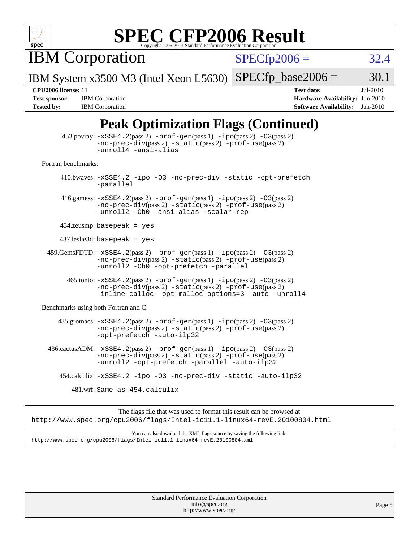

IBM Corporation

 $SPECfp2006 = 32.4$  $SPECfp2006 = 32.4$ 

IBM System x3500 M3 (Intel Xeon L5630)  $SPECTp\_base2006 = 30.1$ 

**[Tested by:](http://www.spec.org/auto/cpu2006/Docs/result-fields.html#Testedby)** IBM Corporation **[Software Availability:](http://www.spec.org/auto/cpu2006/Docs/result-fields.html#SoftwareAvailability)** Jan-2010

**[CPU2006 license:](http://www.spec.org/auto/cpu2006/Docs/result-fields.html#CPU2006license)** 11 **[Test date:](http://www.spec.org/auto/cpu2006/Docs/result-fields.html#Testdate)** Jul-2010 **[Test sponsor:](http://www.spec.org/auto/cpu2006/Docs/result-fields.html#Testsponsor)** IBM Corporation **[Hardware Availability:](http://www.spec.org/auto/cpu2006/Docs/result-fields.html#HardwareAvailability)** Jun-2010

# **[Peak Optimization Flags \(Continued\)](http://www.spec.org/auto/cpu2006/Docs/result-fields.html#PeakOptimizationFlags)**

|                                      | $453.$ povray: $-xSSE4$ . $2(pass 2)$ -prof-gen $(pass 1)$ -ipo $(pass 2)$ -03 $(pass 2)$<br>-no-prec-div(pass 2) -static(pass 2) -prof-use(pass 2)<br>-unroll4 -ansi-alias                              |
|--------------------------------------|----------------------------------------------------------------------------------------------------------------------------------------------------------------------------------------------------------|
| Fortran benchmarks:                  |                                                                                                                                                                                                          |
|                                      | 410.bwaves: -xSSE4.2 -ipo -03 -no-prec-div -static -opt-prefetch<br>-parallel                                                                                                                            |
|                                      | 416.gamess: $-xSSE4$ . 2(pass 2) $-prof-gen(pass 1) -ipo(pass 2) -03(pass 2)$<br>-no-prec-div(pass 2) -static(pass 2) -prof-use(pass 2)<br>-unroll2 -Ob0 -ansi-alias -scalar-rep-                        |
|                                      | $434$ .zeusmp: basepeak = yes                                                                                                                                                                            |
| $437$ .leslie3d: basepeak = yes      |                                                                                                                                                                                                          |
|                                      | $459.GemsFDTD: -xSSE4.2(pass 2) -prof-gen(pass 1) -ipo(pass 2) -03(pass 2)$<br>$-no\text{-prec-div}(pass 2)$ $-static(pass 2)$ $-prot\text{-use}(pass 2)$<br>-unroll2 -Ob0 -opt-prefetch -parallel       |
|                                      | 465.tonto: -xSSE4.2(pass 2) -prof-gen(pass 1) -ipo(pass 2) -03(pass 2)<br>-no-prec-div(pass 2) -static(pass 2) -prof-use(pass 2)<br>-inline-calloc -opt-malloc-options=3 -auto -unroll4                  |
| Benchmarks using both Fortran and C: |                                                                                                                                                                                                          |
|                                      | 435.gromacs: -xSSE4.2(pass 2) -prof-gen(pass 1) -ipo(pass 2) -03(pass 2)<br>-no-prec-div(pass 2) -static(pass 2) -prof-use(pass 2)<br>-opt-prefetch -auto-ilp32                                          |
|                                      | 436.cactusADM: -xSSE4.2(pass 2) -prof-gen(pass 1) -ipo(pass 2) -03(pass 2)<br>$-no\text{-prec-div}(pass 2)$ $-static(pass 2)$ $-prot\text{-use}(pass 2)$<br>-unroll2 -opt-prefetch -parallel -auto-ilp32 |
|                                      | 454.calculix: -xSSE4.2 -ipo -03 -no-prec-div -static -auto-ilp32                                                                                                                                         |
|                                      | 481.wrf: Same as 454.calculix                                                                                                                                                                            |
|                                      | The flags file that was used to format this result can be browsed at<br>http://www.spec.org/cpu2006/flags/Intel-ic11.1-linux64-revE.20100804.html                                                        |
|                                      | You can also download the XML flags source by saving the following link:<br>http://www.spec.org/cpu2006/flags/Intel-icl1.1-linux64-revE.20100804.xml                                                     |
|                                      |                                                                                                                                                                                                          |
|                                      |                                                                                                                                                                                                          |
|                                      |                                                                                                                                                                                                          |
|                                      |                                                                                                                                                                                                          |